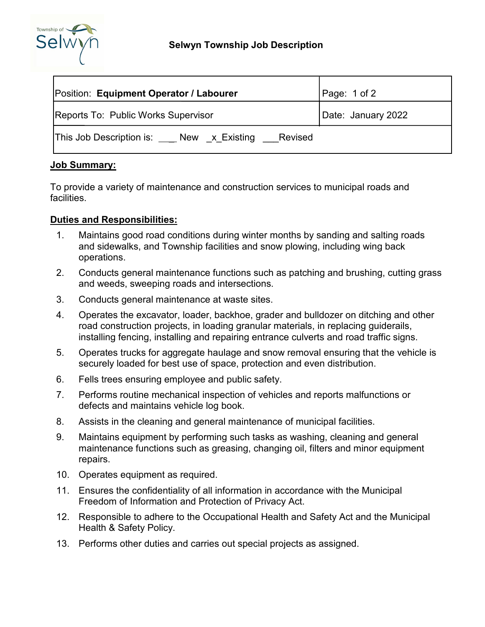

| Position: Equipment Operator / Labourer            | $\vert$ Page: 1 of 2 |
|----------------------------------------------------|----------------------|
| Reports To: Public Works Supervisor                | Date: January 2022   |
| This Job Description is: New x Existing<br>Revised |                      |

## **Job Summary:**

To provide a variety of maintenance and construction services to municipal roads and facilities.

## **Duties and Responsibilities:**

- 1. Maintains good road conditions during winter months by sanding and salting roads and sidewalks, and Township facilities and snow plowing, including wing back operations.
- 2. Conducts general maintenance functions such as patching and brushing, cutting grass and weeds, sweeping roads and intersections.
- 3. Conducts general maintenance at waste sites.
- 4. Operates the excavator, loader, backhoe, grader and bulldozer on ditching and other road construction projects, in loading granular materials, in replacing guiderails, installing fencing, installing and repairing entrance culverts and road traffic signs.
- 5. Operates trucks for aggregate haulage and snow removal ensuring that the vehicle is securely loaded for best use of space, protection and even distribution.
- 6. Fells trees ensuring employee and public safety.
- 7. Performs routine mechanical inspection of vehicles and reports malfunctions or defects and maintains vehicle log book.
- 8. Assists in the cleaning and general maintenance of municipal facilities.
- 9. Maintains equipment by performing such tasks as washing, cleaning and general maintenance functions such as greasing, changing oil, filters and minor equipment repairs.
- 10. Operates equipment as required.
- 11. Ensures the confidentiality of all information in accordance with the Municipal Freedom of Information and Protection of Privacy Act.
- 12. Responsible to adhere to the Occupational Health and Safety Act and the Municipal Health & Safety Policy.
- 13. Performs other duties and carries out special projects as assigned.